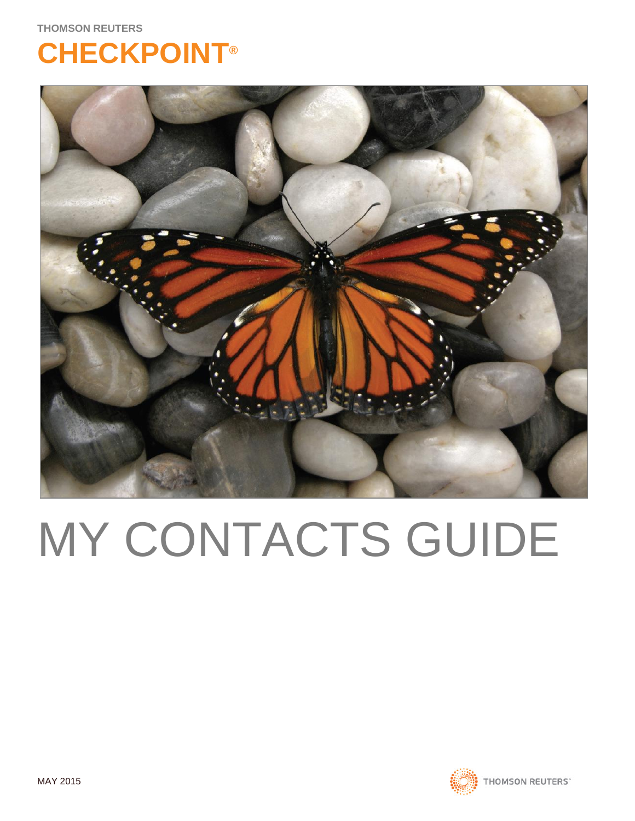**THOMSON REUTERS**

## **CHECKPOINT®**



# MY CONTACTS GUIDE

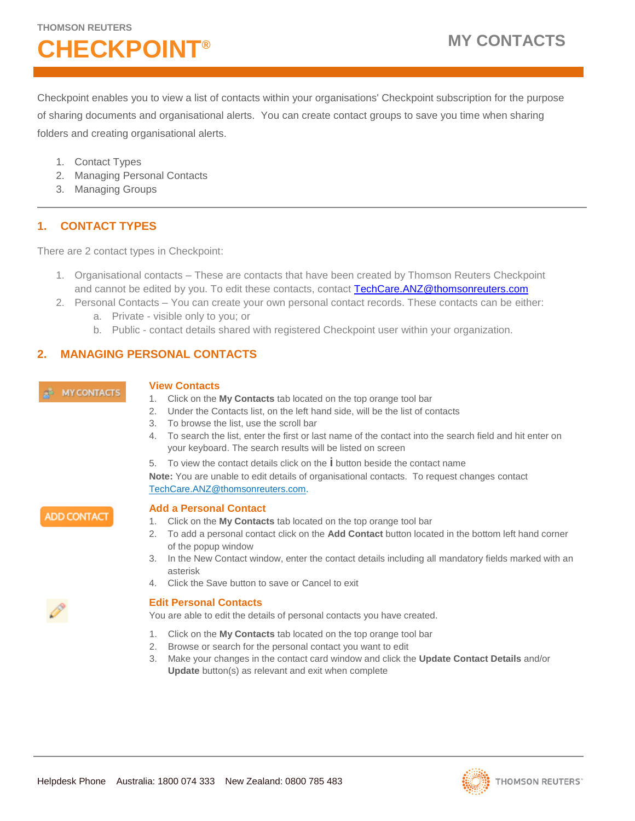## **CHECKPOINT® MY CONTACTS**

Checkpoint enables you to view a list of contacts within your organisations' Checkpoint subscription for the purpose of sharing documents and organisational alerts. You can create contact groups to save you time when sharing folders and creating organisational alerts.

- 1. Contact Types
- 2. Managing Personal Contacts
- 3. Managing Groups

### **1. CONTACT TYPES**

There are 2 contact types in Checkpoint:

- 1. Organisational contacts These are contacts that have been created by Thomson Reuters Checkpoint and cannot be edited by you. To edit these contacts, contact [TechCare.ANZ@thomsonreuters.com](mailto:TechCare.ANZ@thomsonreuters.com)
- 2. Personal Contacts You can create your own personal contact records. These contacts can be either:
	- a. Private visible only to you; or
	- b. Public contact details shared with registered Checkpoint user within your organization.

### **2. MANAGING PERSONAL CONTACTS**

#### **MY CONTACTS**

#### **View Contacts**

- 1. Click on the **My Contacts** tab located on the top orange tool bar
- 2. Under the Contacts list, on the left hand side, will be the list of contacts
- 3. To browse the list, use the scroll bar
- 4. To search the list, enter the first or last name of the contact into the search field and hit enter on your keyboard. The search results will be listed on screen

5. To view the contact details click on the **i** button beside the contact name **Note:** You are unable to edit details of organisational contacts. To request changes contact [TechCare.ANZ@thomsonreuters.com.](mailto:TechCare.ANZ@thomsonreuters.com)

**ADD CONTACT** 

#### **Add a Personal Contact**

- 1. Click on the **My Contacts** tab located on the top orange tool bar
- 2. To add a personal contact click on the **Add Contact** button located in the bottom left hand corner of the popup window
- 3. In the New Contact window, enter the contact details including all mandatory fields marked with an asterisk
- 4. Click the Save button to save or Cancel to exit

#### **Edit Personal Contacts**

You are able to edit the details of personal contacts you have created.

- 1. Click on the **My Contacts** tab located on the top orange tool bar
- 2. Browse or search for the personal contact you want to edit
- 3. Make your changes in the contact card window and click the **Update Contact Details** and/or **Update** button(s) as relevant and exit when complete